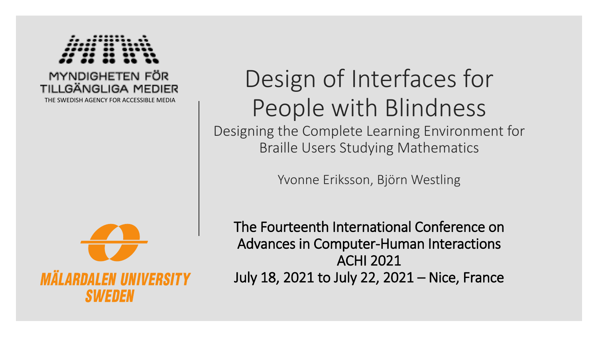

#### MYNDIGHETEN FÖR TILI GÄNGI IGA MEDIER

THE SWEDISH AGENCY FOR ACCESSIBLE MEDIA



SI*kiet* IIEN

# Design of Interfaces for People with Blindness

Designing the Complete Learning Environment for Braille Users Studying Mathematics

Yvonne Eriksson, Björn Westling

The Fourteenth International Conference on Advances in Computer-Human Interactions ACHI 2021 July 18, 2021 to July 22, 2021 – Nice, France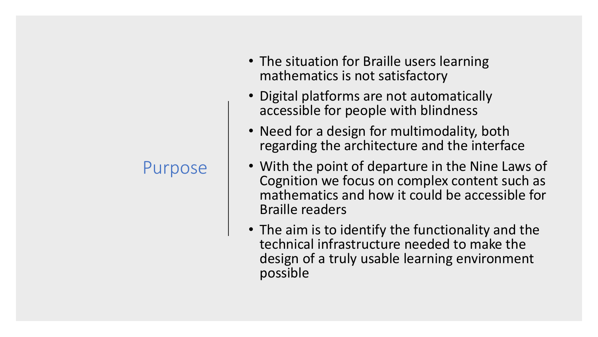#### Purpose

- The situation for Braille users learning mathematics is not satisfactory
- Digital platforms are not automatically accessible for people with blindness
- Need for a design for multimodality, both regarding the architecture and the interface
- With the point of departure in the Nine Laws of Cognition we focus on complex content such as mathematics and how it could be accessible for Braille readers
- The aim is to identify the functionality and the technical infrastructure needed to make the design of a truly usable learning environment possible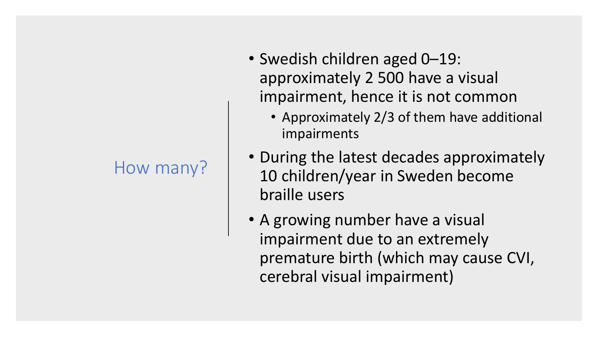#### How many?

- Swedish children aged 0–19: approximately 2 500 have a visual impairment, hence it is not common
	- Approximately 2/3 of them have additional impairments
- During the latest decades approximately 10 children/year in Sweden become braille users
- A growing number have a visual impairment due to an extremely premature birth (which may cause CVI, cerebral visual impairment)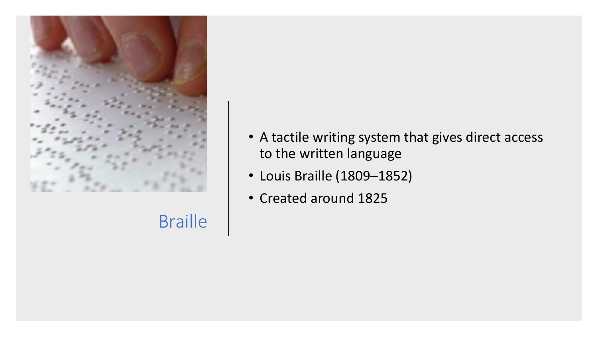

Braille

- A tactile writing system that gives direct access to the written language
- Louis Braille (1809–1852)
- Created around 1825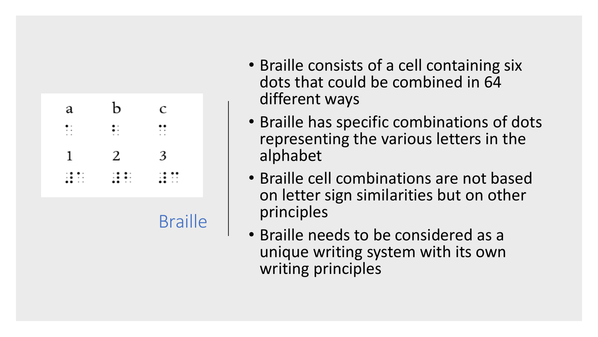

**Braille** 

- Braille consists of a cell containing six dots that could be combined in 64 different ways
- Braille has specific combinations of dots representing the various letters in the alphabet
- Braille cell combinations are not based on letter sign similarities but on other principles
- Braille needs to be considered as a unique writing system with its own writing principles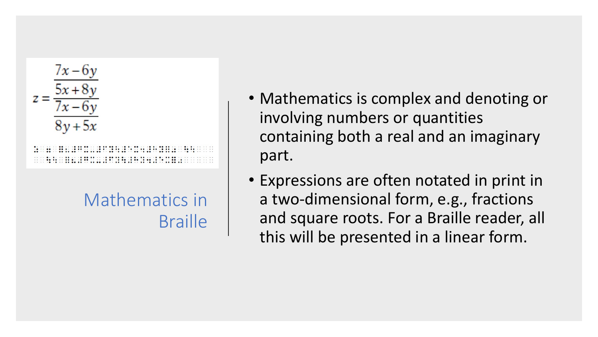

Mathematics in **Braille** 

- Mathematics is complex and denoting or involving numbers or quantities containing both a real and an imaginary part.
- Expressions are often notated in print in a two-dimensional form, e.g., fractions and square roots. For a Braille reader, all this will be presented in a linear form.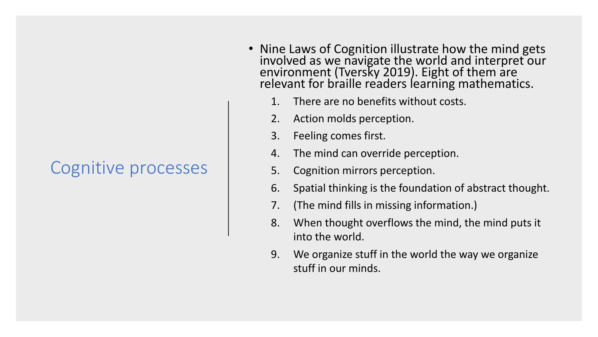#### Cognitive processes

- Nine Laws of Cognition illustrate how the mind gets involved as we navigate the world and interpret our environment (Tversky 2019). Eight of them are relevant for braille readers learning mathematics.
	- 1. There are no benefits without costs.
	- 2. Action molds perception.
	- 3. Feeling comes first.
	- 4. The mind can override perception.
	- 5. Cognition mirrors perception.
	- 6. Spatial thinking is the foundation of abstract thought.
	- 7. (The mind fills in missing information.)
	- 8. When thought overflows the mind, the mind puts it into the world.
	- 9. We organize stuff in the world the way we organize stuff in our minds.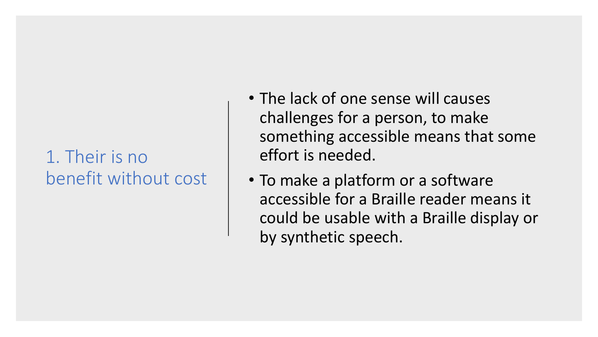#### 1. Their is no benefit without cost

- The lack of one sense will causes challenges for a person, to make something accessible means that some effort is needed.
- To make a platform or a software accessible for a Braille reader means it could be usable with a Braille display or by synthetic speech.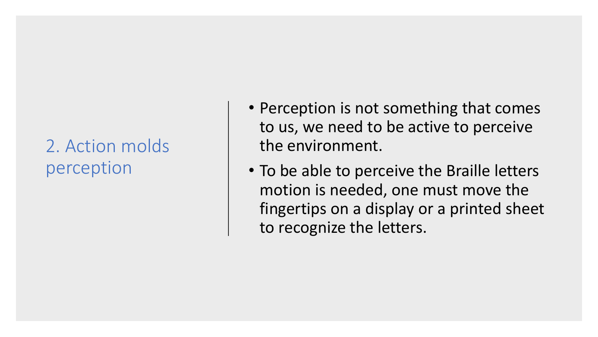### 2. Action molds perception

- Perception is not something that comes to us, we need to be active to perceive the environment.
- To be able to perceive the Braille letters motion is needed, one must move the fingertips on a display or a printed sheet to recognize the letters.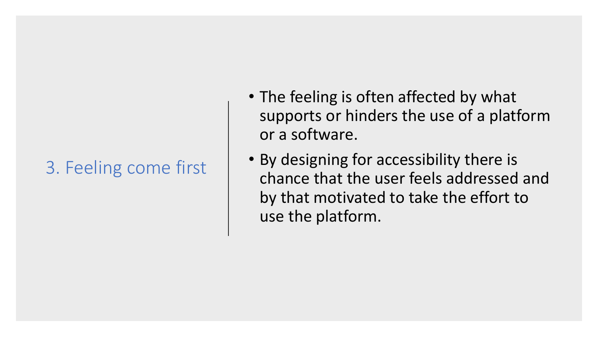#### 3. Feeling come first

- The feeling is often affected by what supports or hinders the use of a platform or a software.
- By designing for accessibility there is chance that the user feels addressed and by that motivated to take the effort to use the platform.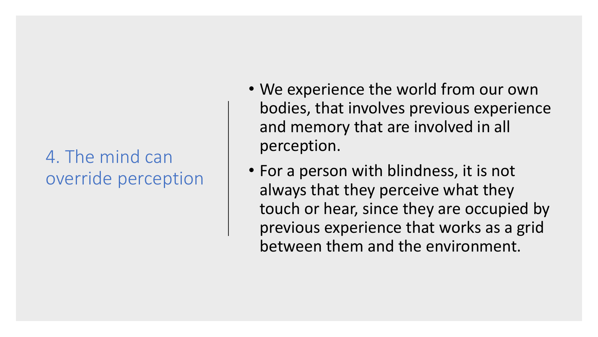#### 4. The mind can override perception

- We experience the world from our own bodies, that involves previous experience and memory that are involved in all perception.
- For a person with blindness, it is not always that they perceive what they touch or hear, since they are occupied by previous experience that works as a grid between them and the environment.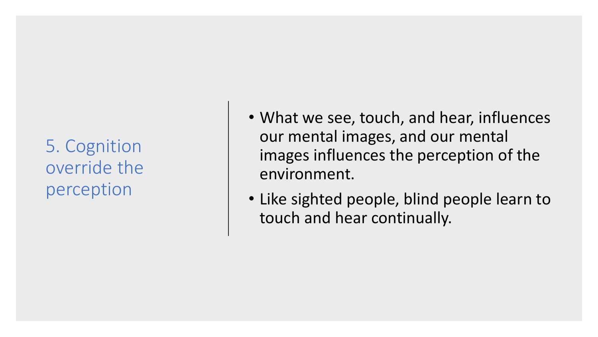5. Cognition override the perception

- What we see, touch, and hear, influences our mental images, and our mental images influences the perception of the environment.
- Like sighted people, blind people learn to touch and hear continually.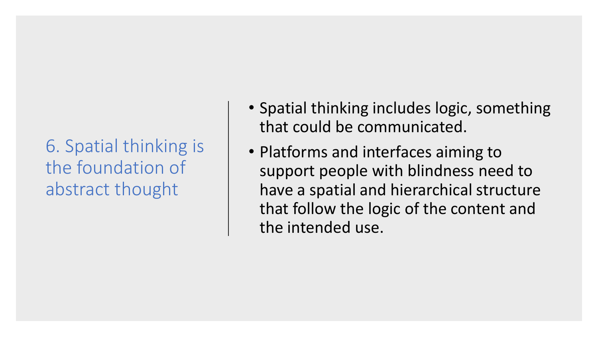6. Spatial thinking is the foundation of abstract thought

- Spatial thinking includes logic, something that could be communicated.
- Platforms and interfaces aiming to support people with blindness need to have a spatial and hierarchical structure that follow the logic of the content and the intended use.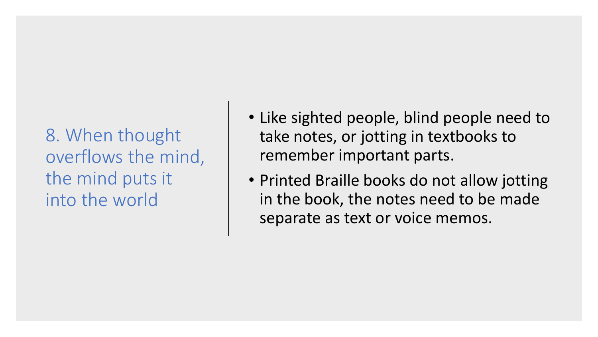8. When thought overflows the mind, the mind puts it into the world

- Like sighted people, blind people need to take notes, or jotting in textbooks to remember important parts.
- Printed Braille books do not allow jotting in the book, the notes need to be made separate as text or voice memos.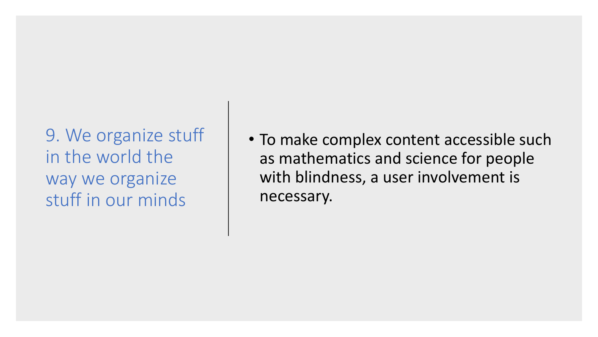9. We organize stuff in the world the way we organize stuff in our minds

• To make complex content accessible such as mathematics and science for people with blindness, a user involvement is necessary.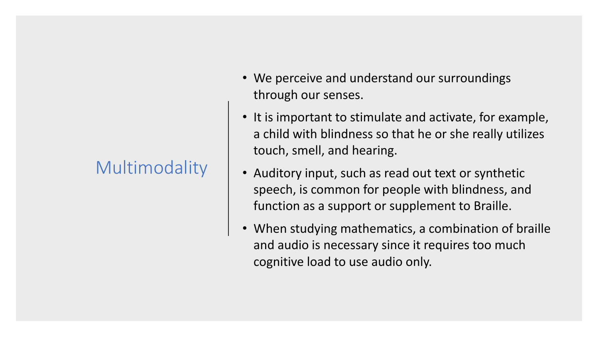#### Multimodality

- We perceive and understand our surroundings through our senses.
- It is important to stimulate and activate, for example, a child with blindness so that he or she really utilizes touch, smell, and hearing.
- Auditory input, such as read out text or synthetic speech, is common for people with blindness, and function as a support or supplement to Braille.
- When studying mathematics, a combination of braille and audio is necessary since it requires too much cognitive load to use audio only.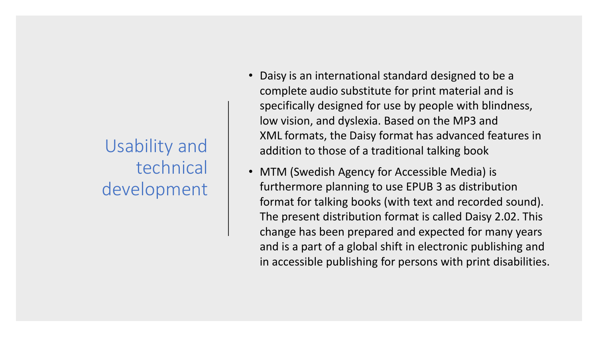## Usability and technical development

- Daisy is an international standard designed to be a complete audio substitute for print material and is specifically designed for use by people with blindness, low vision, and dyslexia. Based on the MP3 and XML formats, the Daisy format has advanced features in addition to those of a traditional talking book
- MTM (Swedish Agency for Accessible Media) is furthermore planning to use EPUB 3 as distribution format for talking books (with text and recorded sound). The present distribution format is called Daisy 2.02. This change has been prepared and expected for many years and is a part of a global shift in electronic publishing and in accessible publishing for persons with print disabilities.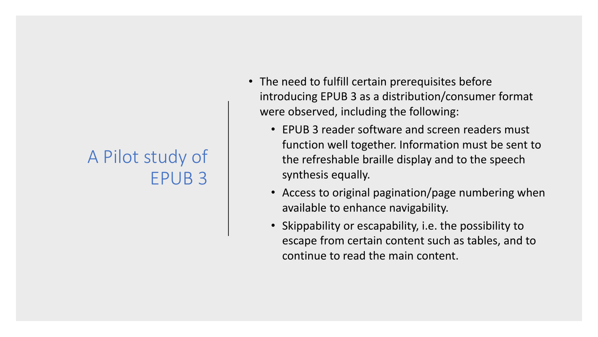#### A Pilot study of EPUB 3

- The need to fulfill certain prerequisites before introducing EPUB 3 as a distribution/consumer format were observed, including the following:
	- EPUB 3 reader software and screen readers must function well together. Information must be sent to the refreshable braille display and to the speech synthesis equally.
	- Access to original pagination/page numbering when available to enhance navigability.
	- Skippability or escapability, i.e. the possibility to escape from certain content such as tables, and to continue to read the main content.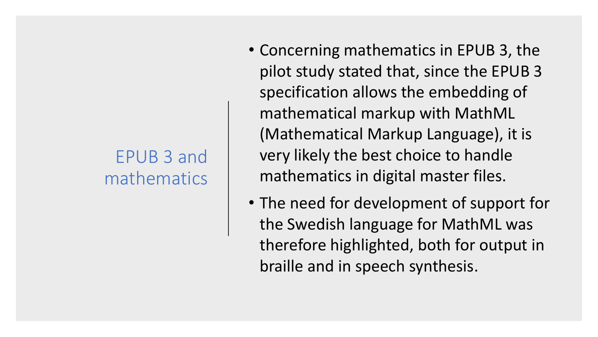#### EPUB 3 and mathematics

- Concerning mathematics in EPUB 3, the pilot study stated that, since the EPUB 3 specification allows the embedding of mathematical markup with MathML (Mathematical Markup Language), it is very likely the best choice to handle mathematics in digital master files.
- The need for development of support for the Swedish language for MathML was therefore highlighted, both for output in braille and in speech synthesis.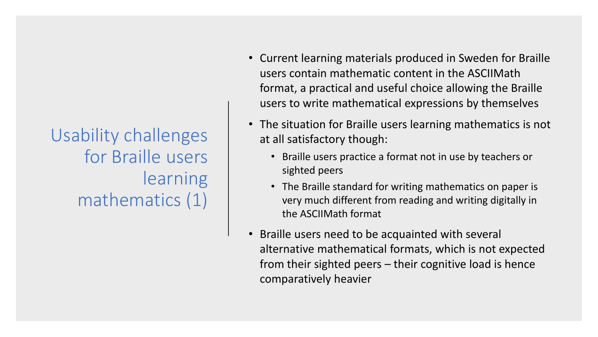Usability challenges for Braille users learning mathematics (1)

- Current learning materials produced in Sweden for Braille users contain mathematic content in the ASCIIMath format, a practical and useful choice allowing the Braille users to write mathematical expressions by themselves
- The situation for Braille users learning mathematics is not at all satisfactory though:
	- Braille users practice a format not in use by teachers or sighted peers
	- The Braille standard for writing mathematics on paper is very much different from reading and writing digitally in the ASCIIMath format
- Braille users need to be acquainted with several alternative mathematical formats, which is not expected from their sighted peers – their cognitive load is hence comparatively heavier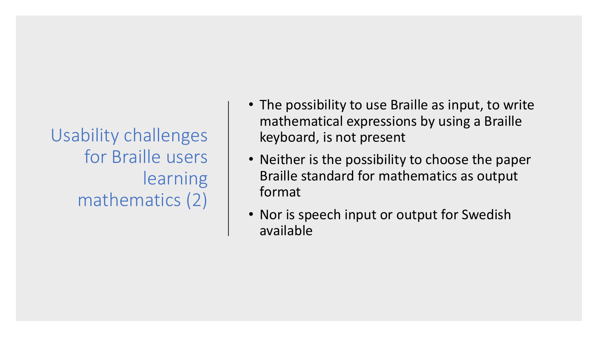Usability challenges for Braille users **learning** mathematics (2)

- The possibility to use Braille as input, to write mathematical expressions by using a Braille keyboard, is not present
- Neither is the possibility to choose the paper Braille standard for mathematics as output format
- Nor is speech input or output for Swedish available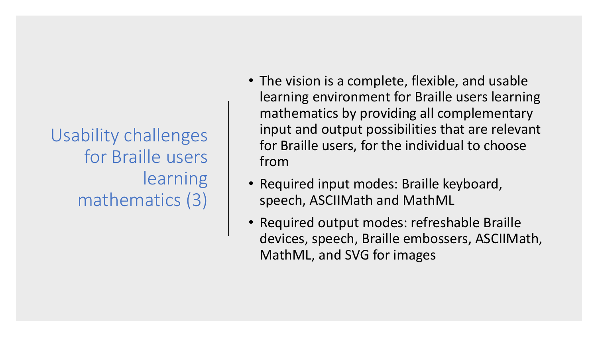Usability challenges for Braille users learning mathematics (3)

- The vision is a complete, flexible, and usable learning environment for Braille users learning mathematics by providing all complementary input and output possibilities that are relevant for Braille users, for the individual to choose from
- Required input modes: Braille keyboard, speech, ASCIIMath and MathML
- Required output modes: refreshable Braille devices, speech, Braille embossers, ASCIIMath, MathML, and SVG for images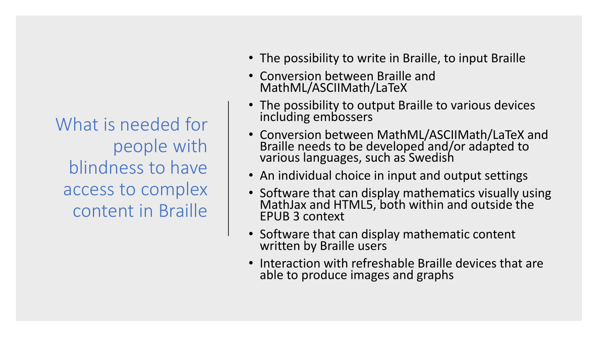What is needed for people with blindness to have access to complex content in Braille

- The possibility to write in Braille, to input Braille
- Conversion between Braille and MathML/ASCIIMath/LaTeX
- The possibility to output Braille to various devices including embossers
- Conversion between MathML/ASCIIMath/LaTeX and Braille needs to be developed and/or adapted to various languages, such as Swedish
- An individual choice in input and output settings
- Software that can display mathematics visually using MathJax and HTML5, both within and outside the EPUB 3 context
- Software that can display mathematic content written by Braille users
- Interaction with refreshable Braille devices that are able to produce images and graphs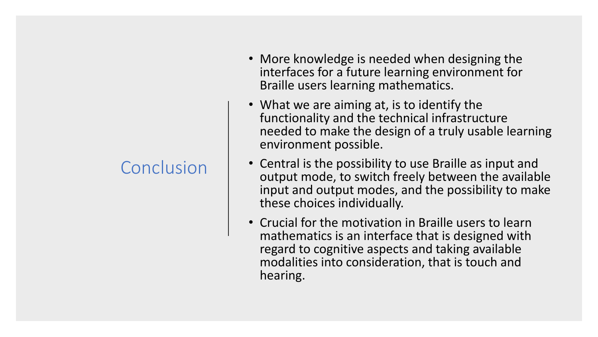### **Conclusion**

- More knowledge is needed when designing the interfaces for a future learning environment for Braille users learning mathematics.
- What we are aiming at, is to identify the functionality and the technical infrastructure needed to make the design of a truly usable learning environment possible.
- Central is the possibility to use Braille as input and output mode, to switch freely between the available input and output modes, and the possibility to make these choices individually.
- Crucial for the motivation in Braille users to learn mathematics is an interface that is designed with regard to cognitive aspects and taking available modalities into consideration, that is touch and hearing.